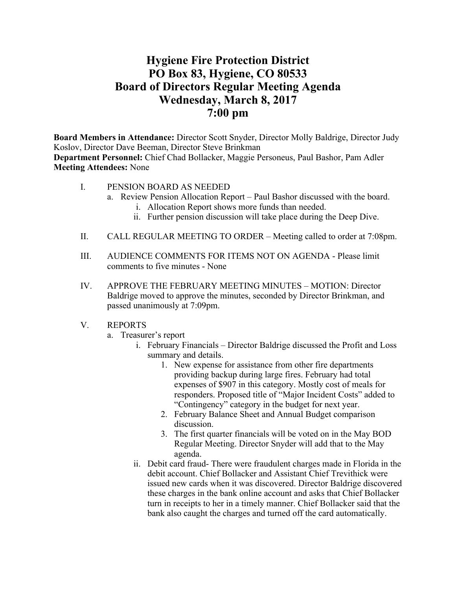## **Hygiene Fire Protection District PO Box 83, Hygiene, CO 80533 Board of Directors Regular Meeting Agenda Wednesday, March 8, 2017 7:00 pm**

**Board Members in Attendance:** Director Scott Snyder, Director Molly Baldrige, Director Judy Koslov, Director Dave Beeman, Director Steve Brinkman

**Department Personnel:** Chief Chad Bollacker, Maggie Personeus, Paul Bashor, Pam Adler **Meeting Attendees:** None

- I. PENSION BOARD AS NEEDED
	- a. Review Pension Allocation Report Paul Bashor discussed with the board.
		- i. Allocation Report shows more funds than needed.
		- ii. Further pension discussion will take place during the Deep Dive.
- II. CALL REGULAR MEETING TO ORDER Meeting called to order at 7:08pm.
- III. AUDIENCE COMMENTS FOR ITEMS NOT ON AGENDA Please limit comments to five minutes - None
- IV. APPROVE THE FEBRUARY MEETING MINUTES MOTION: Director Baldrige moved to approve the minutes, seconded by Director Brinkman, and passed unanimously at 7:09pm.
- V. REPORTS
	- a. Treasurer's report
		- i. February Financials Director Baldrige discussed the Profit and Loss summary and details.
			- 1. New expense for assistance from other fire departments providing backup during large fires. February had total expenses of \$907 in this category. Mostly cost of meals for responders. Proposed title of "Major Incident Costs" added to "Contingency" category in the budget for next year.
			- 2. February Balance Sheet and Annual Budget comparison discussion.
			- 3. The first quarter financials will be voted on in the May BOD Regular Meeting. Director Snyder will add that to the May agenda.
		- ii. Debit card fraud- There were fraudulent charges made in Florida in the debit account. Chief Bollacker and Assistant Chief Trevithick were issued new cards when it was discovered. Director Baldrige discovered these charges in the bank online account and asks that Chief Bollacker turn in receipts to her in a timely manner. Chief Bollacker said that the bank also caught the charges and turned off the card automatically.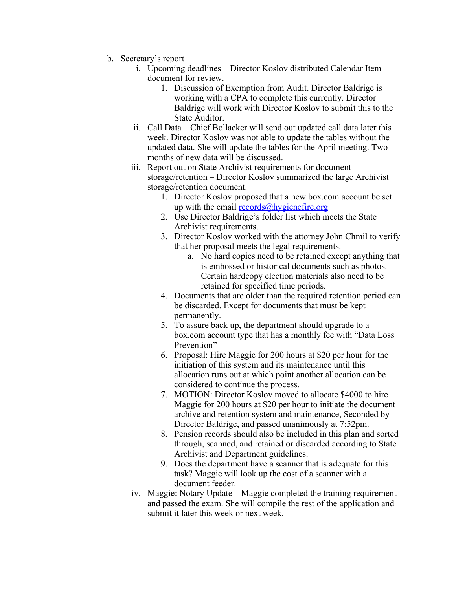- b. Secretary's report
	- i. Upcoming deadlines Director Koslov distributed Calendar Item document for review.
		- 1. Discussion of Exemption from Audit. Director Baldrige is working with a CPA to complete this currently. Director Baldrige will work with Director Koslov to submit this to the State Auditor.
	- ii. Call Data Chief Bollacker will send out updated call data later this week. Director Koslov was not able to update the tables without the updated data. She will update the tables for the April meeting. Two months of new data will be discussed.
	- iii. Report out on State Archivist requirements for document storage/retention – Director Koslov summarized the large Archivist storage/retention document.
		- 1. Director Koslov proposed that a new box.com account be set up with the email  $records@hygienefire.org$
		- 2. Use Director Baldrige's folder list which meets the State Archivist requirements.
		- 3. Director Koslov worked with the attorney John Chmil to verify that her proposal meets the legal requirements.
			- a. No hard copies need to be retained except anything that is embossed or historical documents such as photos. Certain hardcopy election materials also need to be retained for specified time periods.
		- 4. Documents that are older than the required retention period can be discarded. Except for documents that must be kept permanently.
		- 5. To assure back up, the department should upgrade to a box.com account type that has a monthly fee with "Data Loss Prevention"
		- 6. Proposal: Hire Maggie for 200 hours at \$20 per hour for the initiation of this system and its maintenance until this allocation runs out at which point another allocation can be considered to continue the process.
		- 7. MOTION: Director Koslov moved to allocate \$4000 to hire Maggie for 200 hours at \$20 per hour to initiate the document archive and retention system and maintenance, Seconded by Director Baldrige, and passed unanimously at 7:52pm.
		- 8. Pension records should also be included in this plan and sorted through, scanned, and retained or discarded according to State Archivist and Department guidelines.
		- 9. Does the department have a scanner that is adequate for this task? Maggie will look up the cost of a scanner with a document feeder.
	- iv. Maggie: Notary Update Maggie completed the training requirement and passed the exam. She will compile the rest of the application and submit it later this week or next week.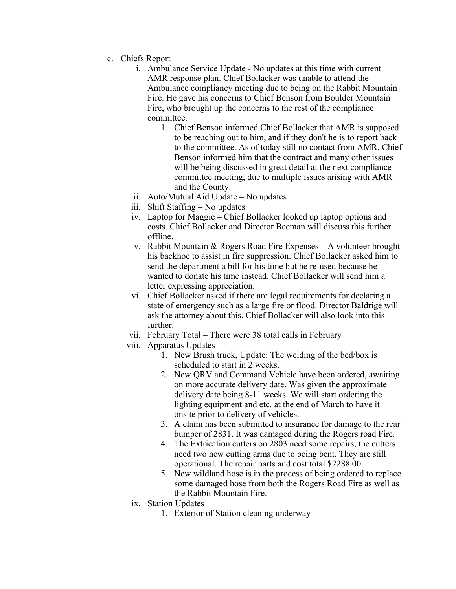- c. Chiefs Report
	- i. Ambulance Service Update No updates at this time with current AMR response plan. Chief Bollacker was unable to attend the Ambulance compliancy meeting due to being on the Rabbit Mountain Fire. He gave his concerns to Chief Benson from Boulder Mountain Fire, who brought up the concerns to the rest of the compliance committee.
		- 1. Chief Benson informed Chief Bollacker that AMR is supposed to be reaching out to him, and if they don't he is to report back to the committee. As of today still no contact from AMR. Chief Benson informed him that the contract and many other issues will be being discussed in great detail at the next compliance committee meeting, due to multiple issues arising with AMR and the County.
	- ii. Auto/Mutual Aid Update No updates
	- iii. Shift Staffing No updates
	- iv. Laptop for Maggie Chief Bollacker looked up laptop options and costs. Chief Bollacker and Director Beeman will discuss this further offline.
	- v. Rabbit Mountain & Rogers Road Fire Expenses  $-A$  volunteer brought his backhoe to assist in fire suppression. Chief Bollacker asked him to send the department a bill for his time but he refused because he wanted to donate his time instead. Chief Bollacker will send him a letter expressing appreciation.
	- vi. Chief Bollacker asked if there are legal requirements for declaring a state of emergency such as a large fire or flood. Director Baldrige will ask the attorney about this. Chief Bollacker will also look into this further.
	- vii. February Total There were 38 total calls in February
	- viii. Apparatus Updates
		- 1. New Brush truck, Update: The welding of the bed/box is scheduled to start in 2 weeks.
		- 2. New QRV and Command Vehicle have been ordered, awaiting on more accurate delivery date. Was given the approximate delivery date being 8-11 weeks. We will start ordering the lighting equipment and etc. at the end of March to have it onsite prior to delivery of vehicles.
		- 3. A claim has been submitted to insurance for damage to the rear bumper of 2831. It was damaged during the Rogers road Fire.
		- 4. The Extrication cutters on 2803 need some repairs, the cutters need two new cutting arms due to being bent. They are still operational. The repair parts and cost total \$2288.00
		- 5. New wildland hose is in the process of being ordered to replace some damaged hose from both the Rogers Road Fire as well as the Rabbit Mountain Fire.
	- ix. Station Updates
		- 1. Exterior of Station cleaning underway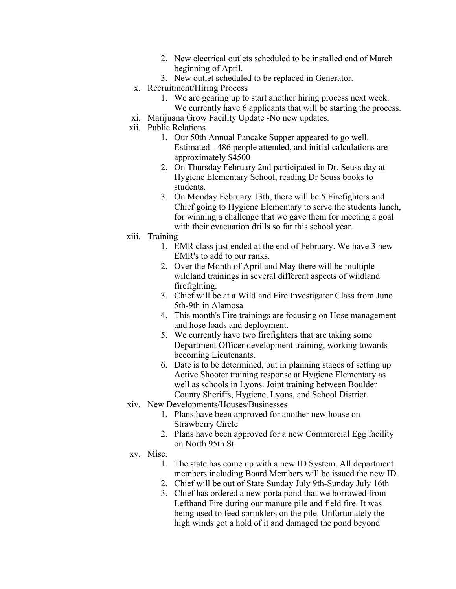- 2. New electrical outlets scheduled to be installed end of March beginning of April.
- 3. New outlet scheduled to be replaced in Generator.
- x. Recruitment/Hiring Process
	- 1. We are gearing up to start another hiring process next week. We currently have 6 applicants that will be starting the process.
- xi. Marijuana Grow Facility Update -No new updates.
- xii. Public Relations
	- 1. Our 50th Annual Pancake Supper appeared to go well. Estimated - 486 people attended, and initial calculations are approximately \$4500
	- 2. On Thursday February 2nd participated in Dr. Seuss day at Hygiene Elementary School, reading Dr Seuss books to students.
	- 3. On Monday February 13th, there will be 5 Firefighters and Chief going to Hygiene Elementary to serve the students lunch, for winning a challenge that we gave them for meeting a goal with their evacuation drills so far this school year.
- xiii. Training
	- 1. EMR class just ended at the end of February. We have 3 new EMR's to add to our ranks.
	- 2. Over the Month of April and May there will be multiple wildland trainings in several different aspects of wildland firefighting.
	- 3. Chief will be at a Wildland Fire Investigator Class from June 5th-9th in Alamosa
	- 4. This month's Fire trainings are focusing on Hose management and hose loads and deployment.
	- 5. We currently have two firefighters that are taking some Department Officer development training, working towards becoming Lieutenants.
	- 6. Date is to be determined, but in planning stages of setting up Active Shooter training response at Hygiene Elementary as well as schools in Lyons. Joint training between Boulder County Sheriffs, Hygiene, Lyons, and School District.
- xiv. New Developments/Houses/Businesses
	- 1. Plans have been approved for another new house on Strawberry Circle
	- 2. Plans have been approved for a new Commercial Egg facility on North 95th St.
- xv. Misc.
	- 1. The state has come up with a new ID System. All department members including Board Members will be issued the new ID.
	- 2. Chief will be out of State Sunday July 9th-Sunday July 16th
	- 3. Chief has ordered a new porta pond that we borrowed from Lefthand Fire during our manure pile and field fire. It was being used to feed sprinklers on the pile. Unfortunately the high winds got a hold of it and damaged the pond beyond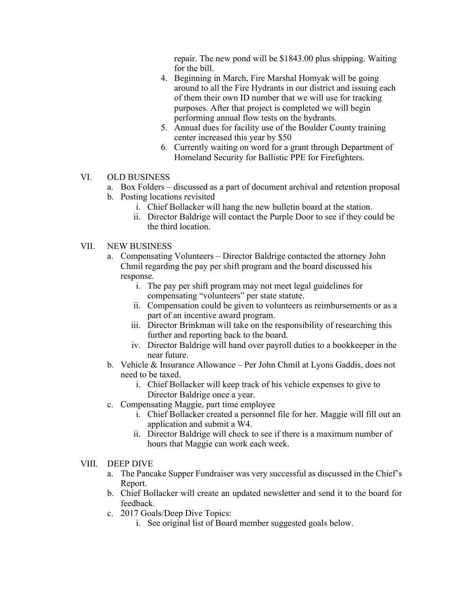repair. The new pond will be \$1843.00 plus shipping. Waiting for the bill.

- 4. Beginning in March, Fire Marshal Homyak will be going around to all the Fire Hydrants in our district and issuing each of them their own ID number that we will use for tracking purposes. After that project is completed we will begin performing annual flow tests on the hydrants.
- 5. Annual dues for facility use of the Boulder County training center increased this year by \$50
- 6. Currently waiting on word for a grant through Department of Homeland Security for Ballistic PPE for Firefighters.

## VI. OLD BUSINESS

- a. Box Folders discussed as a part of document archival and retention proposal b. Posting locations revisited
	- i. Chief Bollacker will hang the new bulletin board at the station.
	- ii. Director Baldrige will contact the Purple Door to see if they could be the third location.

## VII. NEW BUSINESS

- a. Compensating Volunteers Director Baldrige contacted the attorney John Chmil regarding the pay per shift program and the board discussed his response.
	- i. The pay per shift program may not meet legal guidelines for compensating "volunteers" per state statute.
	- ii. Compensation could be given to volunteers as reimbursements or as a part of an incentive award program.
	- iii. Director Brinkman will take on the responsibility of researching this further and reporting back to the board.
	- iv. Director Baldrige will hand over payroll duties to a bookkeeper in the near future.
- b. Vehicle & Insurance Allowance Per John Chmil at Lyons Gaddis, does not need to be taxed.
	- i. Chief Bollacker will keep track of his vehicle expenses to give to Director Baldrige once a year.
- c. Compensating Maggie, part time employee
	- i. Chief Bollacker created a personnel file for her. Maggie will fill out an application and submit a W4.
	- ii. Director Baldrige will check to see if there is a maximum number of hours that Maggie can work each week.

## VIII. DEEP DIVE

- a. The Pancake Supper Fundraiser was very successful as discussed in the Chief's Report.
- b. Chief Bollacker will create an updated newsletter and send it to the board for feedback.
- c. 2017 Goals/Deep Dive Topics:
	- i. See original list of Board member suggested goals below.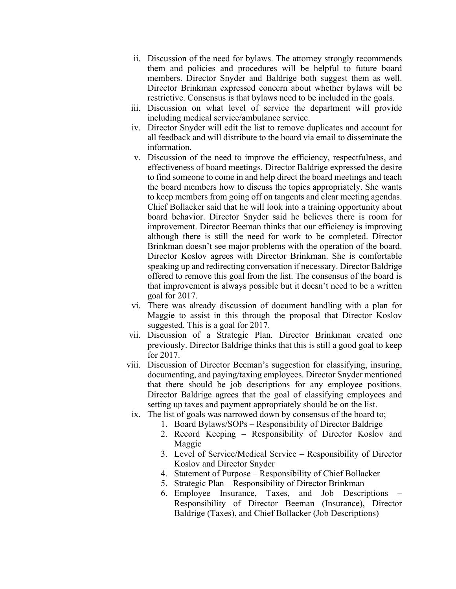- ii. Discussion of the need for bylaws. The attorney strongly recommends them and policies and procedures will be helpful to future board members. Director Snyder and Baldrige both suggest them as well. Director Brinkman expressed concern about whether bylaws will be restrictive. Consensus is that bylaws need to be included in the goals.
- iii. Discussion on what level of service the department will provide including medical service/ambulance service.
- iv. Director Snyder will edit the list to remove duplicates and account for all feedback and will distribute to the board via email to disseminate the information.
- v. Discussion of the need to improve the efficiency, respectfulness, and effectiveness of board meetings. Director Baldrige expressed the desire to find someone to come in and help direct the board meetings and teach the board members how to discuss the topics appropriately. She wants to keep members from going off on tangents and clear meeting agendas. Chief Bollacker said that he will look into a training opportunity about board behavior. Director Snyder said he believes there is room for improvement. Director Beeman thinks that our efficiency is improving although there is still the need for work to be completed. Director Brinkman doesn't see major problems with the operation of the board. Director Koslov agrees with Director Brinkman. She is comfortable speaking up and redirecting conversation if necessary. Director Baldrige offered to remove this goal from the list. The consensus of the board is that improvement is always possible but it doesn't need to be a written goal for 2017.
- vi. There was already discussion of document handling with a plan for Maggie to assist in this through the proposal that Director Koslov suggested. This is a goal for 2017.
- vii. Discussion of a Strategic Plan. Director Brinkman created one previously. Director Baldrige thinks that this is still a good goal to keep for 2017.
- viii. Discussion of Director Beeman's suggestion for classifying, insuring, documenting, and paying/taxing employees. Director Snyder mentioned that there should be job descriptions for any employee positions. Director Baldrige agrees that the goal of classifying employees and setting up taxes and payment appropriately should be on the list.
	- ix. The list of goals was narrowed down by consensus of the board to;
		- 1. Board Bylaws/SOPs Responsibility of Director Baldrige
			- 2. Record Keeping Responsibility of Director Koslov and Maggie
			- 3. Level of Service/Medical Service Responsibility of Director Koslov and Director Snyder
			- 4. Statement of Purpose Responsibility of Chief Bollacker
			- 5. Strategic Plan Responsibility of Director Brinkman
			- 6. Employee Insurance, Taxes, and Job Descriptions Responsibility of Director Beeman (Insurance), Director Baldrige (Taxes), and Chief Bollacker (Job Descriptions)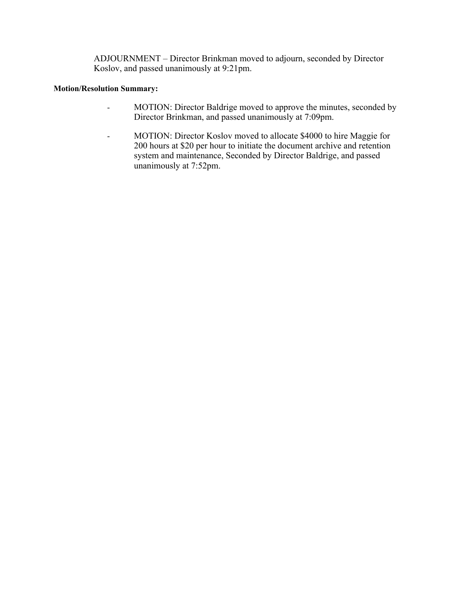ADJOURNMENT – Director Brinkman moved to adjourn, seconded by Director Koslov, and passed unanimously at 9:21pm.

### **Motion/Resolution Summary:**

- MOTION: Director Baldrige moved to approve the minutes, seconded by Director Brinkman, and passed unanimously at 7:09pm.
- MOTION: Director Koslov moved to allocate \$4000 to hire Maggie for 200 hours at \$20 per hour to initiate the document archive and retention system and maintenance, Seconded by Director Baldrige, and passed unanimously at 7:52pm.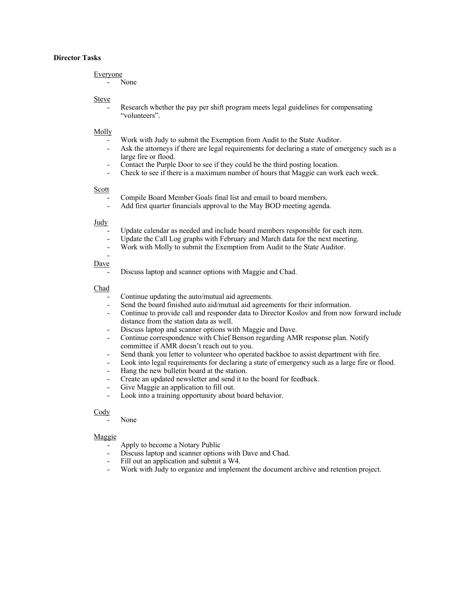#### **Director Tasks**

#### Everyone

- None

#### Steve

Research whether the pay per shift program meets legal guidelines for compensating "volunteers".

#### Molly

- Work with Judy to submit the Exemption from Audit to the State Auditor.
- Ask the attorneys if there are legal requirements for declaring a state of emergency such as a large fire or flood.
- Contact the Purple Door to see if they could be the third posting location.
- Check to see if there is a maximum number of hours that Maggie can work each week.

#### Scott

- Compile Board Member Goals final list and email to board members.
- Add first quarter financials approval to the May BOD meeting agenda.

#### Judy

- Update calendar as needed and include board members responsible for each item.
- Update the Call Log graphs with February and March data for the next meeting.
- Work with Molly to submit the Exemption from Audit to the State Auditor.

#### Dave

-

Discuss laptop and scanner options with Maggie and Chad.

#### Chad

- Continue updating the auto/mutual aid agreements.
- Send the board finished auto aid/mutual aid agreements for their information.
- Continue to provide call and responder data to Director Koslov and from now forward include distance from the station data as well.
- Discuss laptop and scanner options with Maggie and Dave.
- Continue correspondence with Chief Benson regarding AMR response plan. Notify committee if AMR doesn't reach out to you.
- Send thank you letter to volunteer who operated backhoe to assist department with fire.
- Look into legal requirements for declaring a state of emergency such as a large fire or flood.
- Hang the new bulletin board at the station.
- Create an updated newsletter and send it to the board for feedback.
- Give Maggie an application to fill out.
- Look into a training opportunity about board behavior.

#### Cody

None

#### Maggie

- Apply to become a Notary Public
- Discuss laptop and scanner options with Dave and Chad.
- Fill out an application and submit a W4.
- Work with Judy to organize and implement the document archive and retention project.